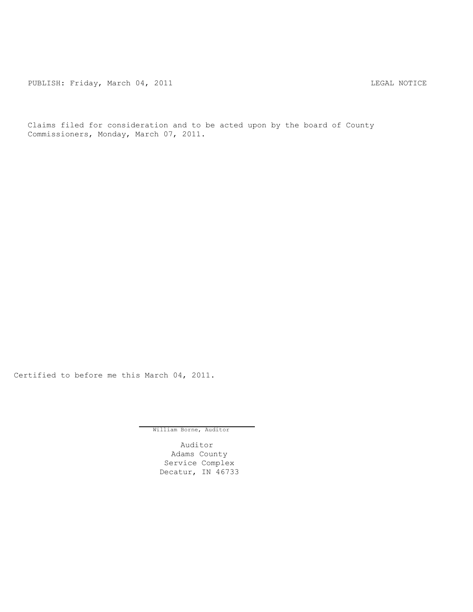PUBLISH: Friday, March 04, 2011 **LEGAL NOTICE** 

Claims filed for consideration and to be acted upon by the board of County Commissioners, Monday, March 07, 2011.

Certified to before me this March 04, 2011.

William Borne, Auditor

Auditor Adams County Service Complex Decatur, IN 46733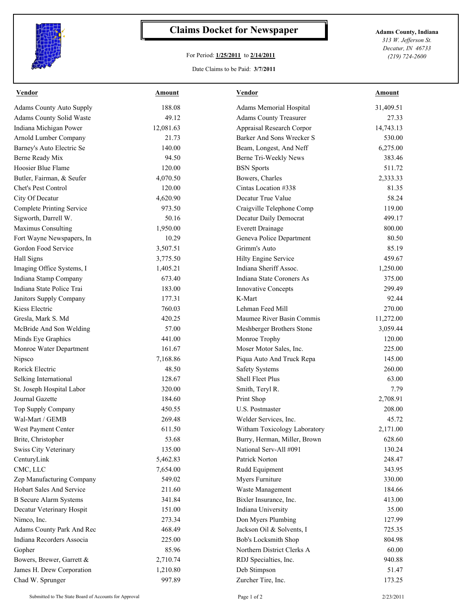

## **Claims Docket for Newspaper Adams County, Indiana**

## For Period: **1/25/2011** to **2/14/2011**

*313 W. Jefferson St. Decatur, IN 46733 (219) 724-2600*

## Date Claims to be Paid: **3/7/2011**

| <b>Vendor</b>                    | Amount    | <b>Vendor</b>                 | Amount    |
|----------------------------------|-----------|-------------------------------|-----------|
| <b>Adams County Auto Supply</b>  | 188.08    | Adams Memorial Hospital       | 31,409.51 |
| Adams County Solid Waste         | 49.12     | <b>Adams County Treasurer</b> | 27.33     |
| Indiana Michigan Power           | 12,081.63 | Appraisal Research Corpor     | 14,743.13 |
| Arnold Lumber Company            | 21.73     | Barker And Sons Wrecker S     | 530.00    |
| Barney's Auto Electric Se        | 140.00    | Beam, Longest, And Neff       | 6,275.00  |
| Berne Ready Mix                  | 94.50     | Berne Tri-Weekly News         | 383.46    |
| Hoosier Blue Flame               | 120.00    | <b>BSN</b> Sports             | 511.72    |
| Butler, Fairman, & Seufer        | 4,070.50  | Bowers, Charles               | 2,333.33  |
| Chet's Pest Control              | 120.00    | Cintas Location #338          | 81.35     |
| City Of Decatur                  | 4,620.90  | Decatur True Value            | 58.24     |
| <b>Complete Printing Service</b> | 973.50    | Craigville Telephone Comp     | 119.00    |
| Sigworth, Darrell W.             | 50.16     | Decatur Daily Democrat        | 499.17    |
| Maximus Consulting               | 1,950.00  | <b>Everett Drainage</b>       | 800.00    |
| Fort Wayne Newspapers, In        | 10.29     | Geneva Police Department      | 80.50     |
| Gordon Food Service              | 3,507.51  | Grimm's Auto                  | 85.19     |
| Hall Signs                       | 3,775.50  | Hilty Engine Service          | 459.67    |
| Imaging Office Systems, I        | 1,405.21  | Indiana Sheriff Assoc.        | 1,250.00  |
| Indiana Stamp Company            | 673.40    | Indiana State Coroners As     | 375.00    |
| Indiana State Police Trai        | 183.00    | <b>Innovative Concepts</b>    | 299.49    |
| Janitors Supply Company          | 177.31    | K-Mart                        | 92.44     |
| Kiess Electric                   | 760.03    | Lehman Feed Mill              | 270.00    |
| Gresla, Mark S. Md               | 420.25    | Maumee River Basin Commis     | 11,272.00 |
| McBride And Son Welding          | 57.00     | Meshberger Brothers Stone     | 3,059.44  |
| Minds Eye Graphics               | 441.00    | Monroe Trophy                 | 120.00    |
| Monroe Water Department          | 161.67    | Moser Motor Sales, Inc.       | 225.00    |
| Nipsco                           | 7,168.86  | Piqua Auto And Truck Repa     | 145.00    |
| Rorick Electric                  | 48.50     | <b>Safety Systems</b>         | 260.00    |
| Selking International            | 128.67    | <b>Shell Fleet Plus</b>       | 63.00     |
| St. Joseph Hospital Labor        | 320.00    | Smith, Teryl R.               | 7.79      |
| Journal Gazette                  | 184.60    | Print Shop                    | 2,708.91  |
| Top Supply Company               | 450.55    | U.S. Postmaster               | 208.00    |
| Wal-Mart / GEMB                  | 269.48    | Welder Services, Inc.         | 45.72     |
| West Payment Center              | 611.50    | Witham Toxicology Laboratory  | 2,171.00  |
| Brite, Christopher               | 53.68     | Burry, Herman, Miller, Brown  | 628.60    |
| Swiss City Veterinary            | 135.00    | National Serv-All #091        | 130.24    |
| CenturyLink                      | 5,462.83  | Patrick Norton                | 248.47    |
| CMC, LLC                         | 7,654.00  | Rudd Equipment                | 343.95    |
| Zep Manufacturing Company        | 549.02    | Myers Furniture               | 330.00    |
| Hobart Sales And Service         | 211.60    | Waste Management              | 184.66    |
| <b>B</b> Secure Alarm Systems    | 341.84    | Bixler Insurance, Inc.        | 413.00    |
| Decatur Veterinary Hospit        | 151.00    | Indiana University            | 35.00     |
| Nimco, Inc.                      | 273.34    | Don Myers Plumbing            | 127.99    |
| Adams County Park And Rec        | 468.49    | Jackson Oil & Solvents, I     | 725.35    |
| Indiana Recorders Associa        | 225.00    | Bob's Locksmith Shop          | 804.98    |
| Gopher                           | 85.96     | Northern District Clerks A    | 60.00     |
| Bowers, Brewer, Garrett &        | 2,710.74  | RDJ Specialties, Inc.         | 940.88    |
| James H. Drew Corporation        | 1,210.80  | Deb Stimpson                  | 51.47     |
|                                  |           |                               |           |
| Chad W. Sprunger                 | 997.89    | Zurcher Tire, Inc.            | 173.25    |